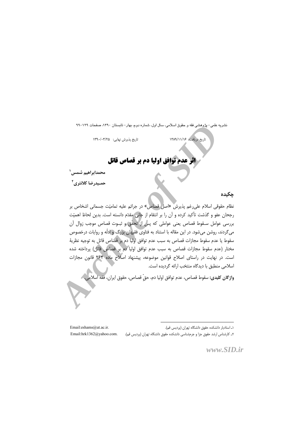نشر به علمي– پژوهشي فقه و حقوق اسلامي، سال اول، شمار ه دولم، بهار – تابستان ۱۳۹۰، صفحات ۱۲۹–۹۹

تاریخ پذیرش نهایی: ١٣٩٠/٠٣/٢٥

تاریخ دریافت: ۱۳۸۹/۱۱/۱۶

# اثر عدم توافق اولیا دم بر قصاص قاتل

محمدابراهيم شمس'

حمسدرضا كلانتري<sup>٢</sup>

جكيده

نظام حقوقی اسلام علی رغم پذیرش «اصل قصاص» در جرائم علیه تمامیّت جسمانی اشخاص بر رجحان عفو و گذشت تأكيد كرده و آن را بر انتقام از جاني مقدّم دانسته است. بدين لحاظ اهميّت بررسی عوامل سـقوط قصاص يعني عواملي كه پس( از تحقّق و ثبـوت قصاص موجب زوال آن میگردند، روشن میشود. در این مقاله با استناد به فتاوی فقیهان بزرگ و ادلّه و روایات درخصوص سقوط يا عدم سقوط مجازات قصاص به سبب عدم توافق اوليا دم پر قصاص قاتل به توجيه نظريهٔ مختار (عدم سقوط مجازات قصاص به سبب عدم توافق اوليا دم بر قصاص قاتل) پرداخته شده است. در نهایت در راستای اصلاح قوانین موضوعه، پیشنهاد اصلاح ماده ۲۶۴ قانون مجازات اسلامی منطبق با دیدگاه منتخب ارائه گردیده است.

واژگان **کليدي:** سقوط قصاص، عدم توافق اوليا دم، حقّ قصاص، حقوق ايران، فقه اسلامل.

٢ـ كارشناس ارشد حقوق جزا و جرمشناسی دانشكده حقوق دانشگاه تهران (پردس قم).

Email:eshams@ut.ac.ir. Email:hrk1362@vahoo.com.

۱ـ استادیار دانشکده حقوق دانشگاه تهران (پردیس قم).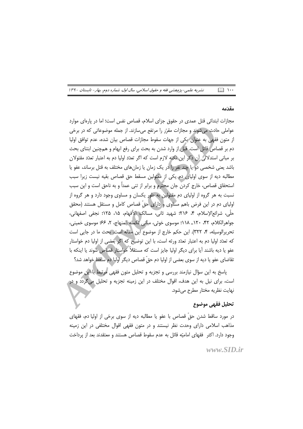مقدّمه

مجازات ابتدائی قتل عمدی در حقوق جزای اسلام، قصاص نفس است؛ اما در پارهای موارد عواملي حادث مي شوند و مجازات مقرّر را مرتفع مي سازند. از جمله موضوعاتي كه در برخي از متون فقهی به عنوان یکی از جهات سقوط مجازات قصاص بیان شده، عدم توافق اولیا دم بر قصاص قاتل است. قبل از وارد شدن به بحث برای رفع ابهام و همچنین ابتنای بحث بر مبانی استدلالی آن ذکر این نکته لازم است که اگر تعدّد اولیا دم به اعتبار تعدّد مقتولان باشد یعنی شخصی دو یا چند نفر را در یک زمان یا زمانهای مختلف به قتل برساند، عفو یا مطالبه دیه از سوی اولیای دم یکی از مقتولین مسقط حق قصاص بقیه نیست زیرا سبب استحقاق قصاص، خارج کردن جان محترم و برابر از تنی عمداً و به ناحق است و این سبب نسبت به هر گروه از اولیای دم مقتولین به طور یکسان و مساوی وجود دارد و هر گروه از اولیای دم در این فرض باهم مساوی و دارای حقّ قصاص کامل و مستقل هستند (محقق حلَّى، شرائع|لإسلام، ۴، ۲۱۶؛ شهيد ثاني، مسالک الأفهام، ۱۵، ۱۲۵؛ نجفى اصفهانى، جواهرالكلام، ۴۲، ١٢٠\_ ١١٨؛ موسوى خوئي، مباني تكمله المنهاج، ٢، ٤۶؛ موسوى خميني، تحريرالوسيله، ۴، ٣٢٢). اين حكم خارج از موضوع اين مقاله است. بحث ما در جايي است كه تعدّد اوليا دم به اعتبار تعدّد ورثه است، با اين توضيح كه اگر بعضي از اوليا دم خواستار عفو یا دیه باشند آیا برای دیگر اولیا جایز است که مستقلاً خواستار قصاص شوند یا اینکه با تقاضای عفو یا دیه از سوی بعضی از اولیا دم حقّ قصاص دیگر اولیا دم ساقط خواهد شد؟

پاسخ به این سؤال نیازمند بررسی و تجزیه و تحلیل متون فقهی مرتبط با این موضوع است، برای نیل به این هدف، اقوال مختلف در این زمینه تجزیه و تحلیل میگردد و در نهايت نظريه مختار مطرح مي شود.

## تحليل فقهي موضوع

در مورد ساقط شدن حقَّ قصاص با عفو یا مطالبه دیه از سوی برخی از اولیا دم، فقهای مذاهب اسلامی دارای وحدت نظر نیستند و در متون فقهی اقوال مختلفی در این زمینه وجود دارد. اکثر فقهای امامیّه قائل به عدم سقوط قصاص هستند و معتقدند بعد از پرداخت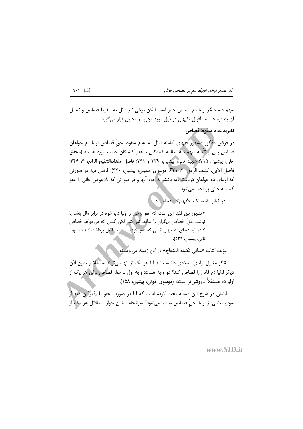اثر عدم توافق اولیاء دم بر قصاص قاتل

سهم ديه ديگر اوليا دم قصاص جايز است ليكن برخي نيز قائل به سقوط قصاص و تبديل آن به دیه هستند. اقوال فقیهان در ذیل مورد تجزیه و تحلیل قرار می گیرد.

نظريه عدم سقوط قصاص

در فرض مذکور مشهور فقهای امامیّه قائل به عدم سقوط حقّ قصاص اولیا دم خواهان قصاص پس از تأديه سهم ديه مطالبه كنندگان يا عفو كنندگان حسب مورد هستند (محقق حلَّى، پیشین، ۲۱۵؛ شهید ثانی، پیشین، ۲۳۹ و ۲۴۱؛ فاضل مقداد،التنقیح الرائع، ۴، ۴۴۶؛ فاضل الآبي، كشف الرَّموز، ٢، ٤٢١؛ موسوى خميني، پيشين، ٣٢٠). فاضل ديه در صورتي که اولیای دم خواهان دریافت دیه باشند به خود آنها و در صورتی که بلاعوض جانی را عفو کنند به جانی پرداخت می شود.

در كتاب «مسالك الأفهام» آمده است:

«مشهور بین فقها این است که عفو برخی از اولیا دم، خواه در برابر مال باشد یا نباشد، حقّ قصاص دیگران را ساقط نمی کند. لکن کسی که می خواهد قصاص کند، باید دیهای به میزان کسی که عفو کرده است، به قاتل پرداخت کند» (شهید ثانی، پیشین، ۲۳۹).

مؤلف كتاب «مبانى تكمله المنهاج» در اين زمينه مىنويسد:

«اگر مقتول اولیای متعدّدی داشته باشد آیا هر یک از آنها می تواند مستقلاً و بدون اذن دیگر اولیا دم قاتل را قصاص کند؟ دو وجه هست: وجه اوّل ــ جواز قصاص برای هر یک از اوليا دم مستقلاً ـ روشنتر است» (موسوى خوئي، پيشين، ١۵٨).

ایشان در شرح این مسأله بحث کرده است که آیا در صورت عفو یا پذیرفتن دیه از سوى بعضي از اوليا، حقَّ قصاص ساقط ميشود؟ سرانجام ايشان جواز استقلال هر يک از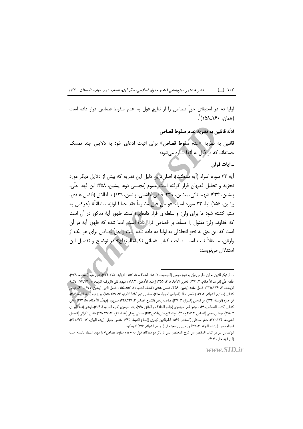نشریه علمی-پژوهشی فقه و حقوق اسلامی، سال اول، شماره دوم، بهار - تابستان ۱۳۹۰  $\Box$   $\cdots$ 

اوليا دم در استيفاى حقّ قصاص را از نتايج قول به عدم سقوط قصاص قرار داده است (همان، ۱۶۰ــ۱۵۸)`.

ادلّه قائلين به نظريه عدم سقوط قصاص

قائلین به نظریه «عدم سقوط قصاص» برای اثبات ادعای خود به دلایلی چند تمسک جستهاند که در ذیل به آنها اشاره می شود:

\_ أيات قرآن

آيه ٣٣ سوره اسراء (آيه سلطنت): اصلي ترين دليل اين نظريه كه بيش از دلايل ديگر مورد تجزیه و تحلیل فقیهان قرار گرفته است عموم (مجلسی دوم، پیشین، ۳۵۸ ابن فهد حلّی، پیشین، ۴۳۴؛ شهید ثانی، پیشین، ۲۳۹؛ فیض کاشانی، پیشین، ۱۳۹) یا اطلاق (فاضل هندی، پيشين، ١۵۶) آية ٣٣ سوره اسراء «و من قتل مظلوماً فقد جعلنا لوليّه سلطاناً» (هركس به ستم کشته شود ما برای ولیّ او سلطهای قرار دادهایم) است. ظهور آیهٔ مذکور در آن است که خداوند ولیّ مقتول را مسلّط بر قصاص قرار داده است. ادعا شده که ظهور آیه در آن است که این حق به نحو انحلالی به اولیا دم داده شده است و حقّ قصاص برای هر یک از وارثان، مستقلاً ثابت است. صاحب كتاب «مبانى تكمله|المنهاج» در توضيح و تفصيل اين استدلال مے نویسد:

١\_ از ديگر قائلين به اين نظر مي توان به شيخ طوسي (المبسوط، ٧، ۵۵؛ الخلاف، ۵، ١٥٣؛ النهايه، ٧٣٥\_٧٣۴)، شيخ مفيد (المقنعه، ٧٣٨)، علَّامه حلَّى (قواعد الأحكام، ٣، ۶۲۴؛ تحرير الأحكام، ٢، ٢۵۵؛ إرشاد الأذهان، ١٩٩،٢)، شهيد ثاني (الروضه البهيه،١٠، ٩٧-ڠ٠٩؛ حاشيهٔ ، الإرشاد، ۴، ٢٣٥\_٣٢٥)، فاضل مقداد (پشين، ۴۴۶)، فاضل هندي (كشف اللثام، ١١، ١۵٧\_١۵٨)، فاضل الآبي (پيشين، ۶۲۱\_-۶۲)، فيض ابن حمزه (الوسيلة، ۴۳۲)، ابن ادريس (السرائر، ۳، ۳۲۶)، صاحب رياض (الشرح الصغير، ۳، ۴۳۸ـ۴۳۹)، سبزواري (مهذّب الأحكام، ٢٨، ٢٩٣)، مذني كاشاني (كتاب القصاص، ١۶٨)، مؤمن قمي سبزواري (جامع الخلاف و الوفاق، ١۶٨)، راشد صيمري (غايه المرام، ٢٠۴،۴)، راوندي (فقه القرآن، ٣٨.٨٣)، مرعشي نجفي (القصاص، ٢٠٧،٤ و ۴٠٠)، ابو الصلاح حلبي (الكافي،٢٨٣)، حسيني روحاني (فقه الصَّادق، ٢۶، ١٢٤-١٢۵)، فاضل لنكراني (تفصيل الشريعه، ٢٣٩-٣٣٠)، جعفر سبحاني (المختار، ٥۶۴)، قطبالدين كيدري (إصباح الشيعة، ٩٩٣)، مقدس ارديبلي (زبده البيان، ١٣، ٣٣٣-٣٣١)، فخرالمحققين (ايضاح الفوائد، ۴، ٢٤۵) و يحيى بن سعيد حلَّى (الجامع للشرائع، ۵۷۶) اشاره كرد. ابوالعباس نيز در كتاب المقتصر من شرح المختصر پس از ذكر دو ديدگاه، قول به «عدم سقوط قصاص» را مورد اعتماد دانسته است

www.SID.ir

(ابن فهد حلّى، ۴۳۴).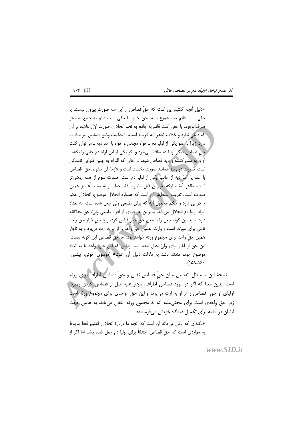«دلیل آنچه گفتیم این است که حقّ قصاص از این سه صورت بیرون نیست: یا حقی است قائم به مجموع مانند حق خیار، یا حقی است قائم به جامع به نحو صرفالوجود، يا حقى است قائم به جامع به نحو انحلال. صورت اوّل علاوه بر آن كه دليلي ندارد و خلاف ظاهر آيه كريمه است، با حكمت وضع قصاص نيز منافات دارد؛ زیرا با عفو یکی از اولیا دم ــ خواه مجانی و خواه با اخذ دیه ــ می توان گفت حقّ قصاص دیگر اولیا دم ساقط میشود و اگر یکی از این اولیا دم جانی را بکشد، او را به ستم کشته و باید قصاص شود. در حالی که التزام به چنین فتوایی ناممکن است. صُورت دوم نيز همانند صورت نخست است و لازمهٔ آن سقوط حقَّ قصاص با عفو یا اُخذ دیه از جانب یکی از اولیا دم است. صورت سوم از همه روشن تر است، ظاهر أية مباركه «وهن قتل مظلوماً فقد جعلنا لوليّه سلطاناً» نيز همين صورت است، تقریب استظهار آن است که همواره انحلال موضوع، انحلال حکم را در پی دارد و حکم مجعول آیه که برای طبیعی ولیّ جعل شده است، به تعداد افراد اوليا دم انحلال مي يابد، بنابراين هر فردي از افراد طبيعي وليّ، حق جداگانه دارد. نباید این گونه جعل را با جعل حقّ خیار قیاس کرد، زیرا حقّ خیار حقّ واحد ثابتی برای مورّث است و وارث، همین حقّ واحد را از او به ارث میبرد و به ناچار همين حقّ واحد براي مجموع ورثه خواهد بود. امّا حقّ قصاص اين گونه نيست، این حق از آغاز برای ولیّ جعل شده است و این که این حق، واحد یا به تعدّد موضوع خود، متعدّد باشد به دلالت دلیل آن است» (موسوی خوئی، پیشین،  $(101)$ 

نتيجة اين استدلال، تفصيل ميان حقٍّ قصاص نفس و حقٍّ قصاص اطراف براى ورثه است. بدین معنا که اگر در مورد قصاص اطراف، مجنے علیه قبل از قصاص کردن بمیرد، ا اولیای او حقَّ قصاص را از او به ارث میبرند و این حقَّ واحدی برای مجموع ورثه است زیرا حق واحدی است برای مجنیعلیه که به مجموع ورثه انتقال می یابد. به همین جهت ایشان در ادامه برای تکمیل دیدگاه خویش می فرمایند:

«نكتهاى كه باقى مى ماند آن است كه آنچه ما دربارة انحلال گفتيم فقط مربوط به مواردي است كه حقٌّ قصاص، ابتدائاً براي اوليا دم جعل شده باشد امّا اگر از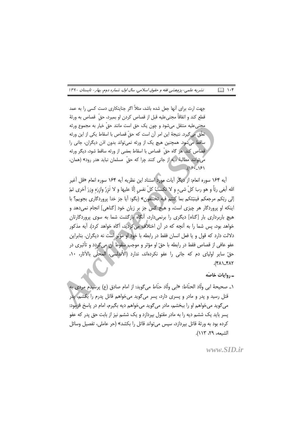نشریه علمی-پژوهشی فقه و حقوق اسلامی، سال اول، شماره دوم، بهار- تابستان ۱۳۹۰  $\Box$   $\cup$ 

جهت ارث برای آنها جعل شده باشد، مثلاً اگر جنایتکاری دست کسی را به عمد قطع كند و اتفاقاً مجنىعليه قبل از قصاص كردن او بميرد، حقَّ قصاص به ورثهٔ محنی علیه منتقل می شود و چون یک حق است مانند حقّ خیار به مجموع ورثه تعلَّق مي گيرد. نتيجهٔ اين امر أن است كه حقٍّ قصاص با اسقاط يكي از اين ورثه ساقط می شود. همچنین هیچ یک از ورثه نمی تواند بدون اذن دیگران، جانی را قصاص كند. هر گاه حقّ قصاص با اسقاط بعضى از ورثه ساقط شود، ديگر ورثه می توانند مطالبهٔ دیه از جانی کنند چرا که حقّ مسلمان نباید هدر رود» (همان،  $18.181$ 

أيه ١۶۴ سوره انعام: از ديگر آيات مورد استناد اين نظريه أيه ١۶۴ سوره انعام «قل أغير الله أبغى ربّاً و هو ربّ كلّ شيء و لا تكسُّبُ كلّ نفسٍ إلّا عليها و لا تَزِرُ وازِرَهِ وِزرَ أخرى ثمّ إلى ربّكم مرجعكم فينبّئكم بما كنتم فيه تختلفون» (بگو: آيا جز خدا يروردگاري بجويم؟ با اینکه او پروردگار هر چیزی است، و هیچ کس جز بر زبان خود [گناهی] انجام نمی دهد و هیچ باربرداری بار [گناه] دیگری را برنمی دارد، آنگاه بازگشت شما به سوی پروردگارتان خواهد بود، پس شما را به آنچه که در آن اختلاف می کردید، آگاه خواهد کرد). آیه مذکور دلالت دارد كه قول و يا فعل انسان فقط در رابطه با خود او مؤثر است نه ديگران. بنابراين عفو عافي از قصاص فقط در رابطه با حقّ او مؤثر و موجّب اسقوط آن مي گردد و تأثيري در حقّ سایر اولیای دم که جانی را عفو نکردهاند، ندارد (الأندلسی، المحلّی بالآثار، ۱۰، ٢٨٢\_٢٨٢).

۔,واپات خاصّه

۱\_ صحيحهٔ ابي ولَّاد الحنَّاط: «ابي ولَّاد حنَّاط مي6ويد: از امام صادق (ع) پرسيدم مردي به ا قتل رسید و پدر و مادر و پسری دارد، پسر می گوید می خواهم قاتل پدرم را بکشم، پدر مي گويد مي خواهم او را ببخشم، مادر مي گويد مي خواهم ديه بگيرم، امام در پاسخ فرمود: یسر باید یک ششم دیه را به مادر مقتول بپردازد و یک ششم نیز از بابت حق پدر که عفو کرده بود به ورثهٔ قاتل بیردازد، سپس می تواند قاتل را بکشد» (حر عاملی، تفصیل وسائل الشيعه، ٢٩، ١١٣).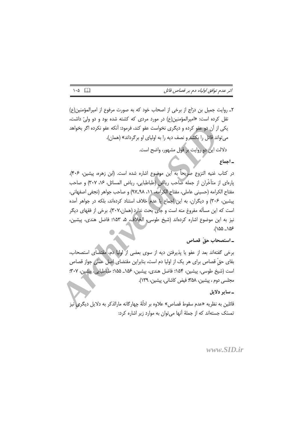٢\_ روايت جميل بن درّاج از برخي از اصحاب خود كه به صورت مرفوع از اميرالمؤمنين(ع) نقل کرده است: «امیرالمؤمنین(ع) در مورد مردی که کشته شده بود و دو ولیّ داش*ت*، یکی از آن دو عفو کرده و دیگری نخواست عفو کند، فرمود: آنکه عفو نکرده اگر بخواهد می تواند قاتل را بکش*د* و نصف دیه را به اولیای او بر گرداند» (همان).

دلالت این دو روایت بر قول مشهور، واضح است.

- اجماع

در كتاب غنيه النزوع صريحاً به اين موضوع اشاره شده است. (ابن زهره، پيشين، ۴۰۶). پارهای از متأخَّران از جمله صاحب ریاض (طباطبایی، ریاض المسائل، ۱۶، ۳۰۷) و صاحب مفتاح الكرامه (حسيني عاملي، مفتاح الكرامه، ١١، ٩٨-٩٧) و صاحب جواهر (نجفي اصفهاني، پیشین، ۳۰۶) و دیگران، به این اجماع یا عدم خلاف استناد کردهاند، بلکه در جواهر آمده است که این مسأله مفروغ منه است و جای بحث ندارد (همان،۳۰۷). برخی از فقهای دیگر نيز به اين موضوع اشاره كردهاند (شيخ طوسى، الخلاف، ۵، ۱۵۳؛ فاضل هندى، پيشين، ۱۵۶– ۱۵۵).

ـ استصحاب حقّ قصاص

برخی گفتهاند بعد از عفو یا پذیرفتن دیه از سوی بعضی از آولیا دم، مقتضاًی استصحاب، بقای حقّ قصاص برای هر یک از اولیا دم است، بنابراین مقتضای اصل عملی جواز قصاص است (شيخ طوسي، پيشين، ۱۵۴؛ فاضل هندي، پيشين، ۱۵۶ـ ۱۵۵؛ طباطبايي، پيشين، ۳۰۷؛ مجلسی دوم ، پیشین، ۳۵۸؛ فیض کاشانی، پیشین، ۱۳۹).

## ۔سایر دلایل

قائلین به نظریه «عدم سقوط قصاص» علاوه بر ادلَّهٔ چهارگانه مارالذکر به دلایل دیگری نیز تمسّک جستهاند که از جملهٔ آنها می توان به موارد زیر اشاره کرد:

## $www$  SID ir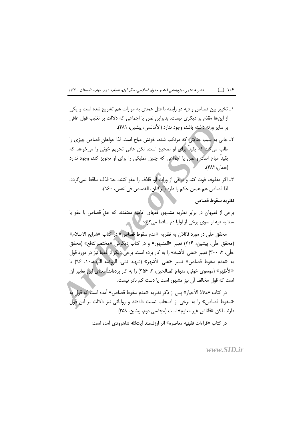نشریه علمی-پژوهشی فقه و حقوق اسلامی، سال اول، شماره دوم، بهار- تابستان ۱۳۹۰  $\Box$   $\cup$ 

- ۱ـ تخيير بين قصاص و ديه در رابطه با قتل عمدي به موازات هم تشريح شده است و يكي از اینها مقدّم بر دیگری نیست. بنابراین نص یا اجماعی که دلالت بر تغلیب قول عافی بر سایر ورثه داشته باشد، وجود ندارد (الأندلسی، پیشین، ۴۸۱).
- ٢ـ جاني به سبب جنايتي كه مرتكب شده، خونش مباح است. لذا خواهان قصاص چيزي را طلب می گند که یقیناً برای او صحیح است. لکن عافی تحریم خونی را میخواهد که یقیناً مباح است و نص یا اجماعی که چنین تملیکی را برای او تجویز کند، وجود ندارد (همان، ۴۸۲).
- ٣ـ اگر مقذوف فوت كند و برخي از وراث او، قاذف را عفو كنند، حدّ قذف ساقط نمي گردد. لذا قصاص هم همين حكم را دارد (الركبان، القصاص في النفس، ١۶٠).

نظريه سقوط قصاص

برخي از فقيهان در برابر نظريه مشــهور فقهاي اماميّه معتقدند كه حقّ قصاص با عفو يا مطالبه دیه از سوی برخی از اولیا دم ساقط می گردد. /

محقق حلّى در مورد قائلان به نظريه «عدم سقوط قصاص» در كتاب «شرايع الاسلام» (محقق حلَّى، پیشین، ٢١۶) تعبیر «المشهور» و در کتاب دیگرش «مختصرالنافع» (محقق حلَّى، ٢، ٣٠٠) تعبير «على الأشبه» را به كار برده است. برخي ديگر از افقها نيز در مورد قول به «عدم سقوط قصاص» تعبير «على الأشهر» (شهيد ثاني، الروضه البهيه،١٠، ٩۶) يا «الأظهر» (موسوى خوئي، منهاج الصالحين، ٢، ٣۵۶) ,ا به كار بردهاند. <mark>معناي اين تعابير آن</mark> است که قول مخالف آن نیز مشهور است یا دست کم نادر نیست.

در كتاب «ملاذ الأخيار» يس از ذكر نظريه «عدم سقوط قصاص» آمده است كه قول به «سقوط قصاص» را به برخی از اصحاب نسبت دادهاند و روایاتی نیز دلالت بر این قول دارند، لكن «قائلش غير معلوم» است (مجلسي دوم، پيشين، ٣۵٩).

در كتاب «قراءات فقهيه معاصره» اثر ارزشمند أيتالله شاهرودي أمده است: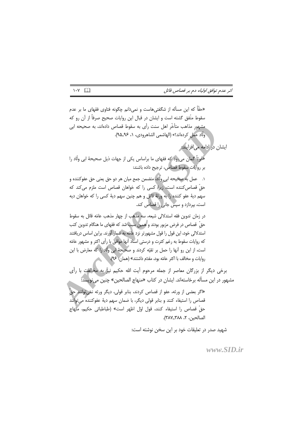ایشان در ادامه می|فزایند.

«حقّاً که این مسأله از شگفتی هاست و نمیدانم چگونه فتاوی فقهای ما بر عدم سقوط متَّفق گشته است و ایشان در قبال این روایات صحیح صرفاً از آن رو که مشهور مذاهب متأخّر اهل سنت رأى به سقوط قصاص دادهاند، به صحيحه ابي ولَّاد عمل كردهاند؟» (الهاشمي الشاهرودي، ١، ٩٤-٩۵).

«قويّاً گمان مي(ود كه فقهاي ما براساس يكي از جهات ذيل صحيحهٔ ابي ولّاد را بر روايات سقوط قصاص، ترجيح داده باشند:

عمل به صحيحه ابي ولَّاد، متضمن جمع ميان هر دو حق يعني حق عفوكننده و حقّ قصاص کننده است، زیراً کسی را که خواهان قصاص است ملزم می کند که سهم ديهٔ عفو كننده را به ورثهٔ قاتل و هم چنين سهم ديهٔ كسى را كه خواهان ديه است، بپردازد و سپس جانی را قصاص کند.

در زمان تدوين فقه استدلالي شيعه، سه مذهب از چهار مذهب عامّه قائل به سقوط حقِ قصاص در فرض مزبور بودند و همین سبب شد که فقهای ما هنگام تدوین کتب استدلالی خود، این قول را قول مشهورتر نزد عامّه به شمار آورند. براین اساس دریافتند که روایات سقوط به رغم کثرت و درستی اسناد آنها موافق با رأی اکثر و مشهور عامّه است، از این رو آنها را حمل بر تقیّه کردند و صحیحهٔ ابی ولّاد را که معارض با این روايات و مخالف با اكثر عامّه بود، مقدّم داشتند» (همان: ٩۶).

برخی دیگر از بزرگان معاصر از جمله مرحوم آیت الله حکیم نیز به مخالفت با رأی مشهور در این مسأله برخاستهاند. ایشان در کتاب «منهاج الصالحین» چنین می نویسد:

«اگر بعضی از ورثه، عفو از قصاص کردند، بنابر قولی، دیگر ورثه نمی وانند حقّ قصاص را استيفاء كنند و بنابر قولي ديگر، با ضمان سهم ديهٔ عفوكننده مي توانند حقّ قصاص را استيفاء كنند، قول اوّل اظهر است» (طباطبائي حكيم، منهاج الصالحين، ٢، ٣٨٧\_٣٨٧).

شهید صدر در تعلیقات خود بر این سخن نوشته است:

 $www$  SID ir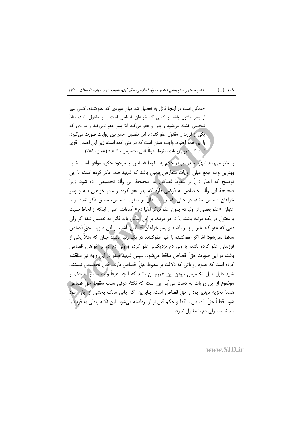نشریه علمی-پژوهشی فقه و حقوق اسلامی، سال اول، شماره دوم، بهار- تابستان ۱۳۹۰  $\mathbb{R}$  1.1

«ممکن است در اینجا قائل به تفصیل شد میان موردی که عفوکننده، کسی غیر از پسر مقتول باشد و کسی که خواهان قصاص است پسر مقتول باشد، مثلاً شخصی کشته می شود و پدر او عفو می کند امّا پسر عفو نمی کند و موردی که يكي از فرزندان مقتول عفو كند؛ با اين تفصيل، جمع بين روايات صورت مي گيرد. با این همه احتیاط واجب همان است که در متن آمده است، زیرا این احتمال قوی است كه عموم روايات سقوط، عرفاً قابل تخصيص نباشند» (همان، ٣٨٨).

به نظر می رسد شهید صدر نیز در حکم به سقوط قصاص، با مرحوم حکیم موافق است. شاید بهترین وجه جمع میان روایات متعارض همین باشد که شهید صدر ذکر کرده است، با این توضيح كه اخبار دالٌ بر سَقوط قصاص به صحيحهٔ ابي ولَّاد تخصيص زده شود، زيرا صحیحهٔ ابی ولّاد اختصاص به فرضی دارد که پدر عفو کرده و مادر خواهان دیه و پسر خواهان قصاص باشد. در حالی که روایات دالّ بر سقوط قصاص، مطلق ذکر شده، و با عنوان «عفو بعضي از اوليا دم بدون عفو ديگر اوليا دم» آمدهاند، اعم از اينكه از لحاظ نسبت با مقتول در یک مرتبه باشند یا در دو مرتبه. بر این اساس باید قائل به تفصیل شد؛ اگر ولی دمی که عفو کند غیر از پسر باشـد و پسر خواهان قصاص باشد، در این صورت حقّ قصاص ساقط نمی شود؛ امّا اگر عفوکننده با غیر عفوکننده در یک رتبه باشند چنان که مثلاً یکی از فرزندان عفو کرده باشد، یا ولی دم نزدیکتر عفو کرده و ولی دم دورتر خواهان قصاص باشد، در این صورت حقّ ً قصاص ساقط میشود. سپس شهید صدر در این وجه نیز مناقشه کرده است که عموم روایاتی که دلالت بر سقوط حقّ قصاص دارند، قابل تخصیص نیستند. شاید دلیل قابل تخصیص نبودن این عموم آن باشد که آنچه عرفاً و به مناسبات حکم و موضوع از این روایات به دست می]ید این است که نکتهٔ عرفی سبب سقوط حقّ قصاص ْ همانا تجزيه ناپذير بودن حقٍّ قصاص است. بنابراين اگر جاني مالک بخشي از جان خود شود، قطعاً حقّ قصاص ساقط و حكم قتل از او برداشته ميشود. اين نكته ربطي به قرب يا بعد نسبت ولي دم با مقتول ندارد.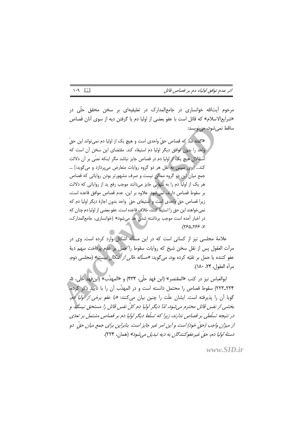مرحوم آیتالله خوانساری در جامع|لمدارک در تعلیقیه|ی بر سخن محقق حلّی در «شرايع|لاسلام» كه قائل است با عفو بعضي از اوليا دم يا گرفتن ديه از سوى آنان قصاص ساقط نمے شود، مے نویسد:

«گفته شد که قصاص حقّ واحدی است و هیچ یک از اولیا دم نمی¤واند این حقّ واحد را بدون توافق دیگر اولیا دم استیفاء کند. مقتضای این سخن آن است که استقلال هیچ یک از اولیا دم در قصاص جایز نباشد مگر اینکه نصّی بر آن دلالت كند... [وى سپس به نقل هر دو گروه روايات متعارض مى پردازد و مى گويد:] ... جمع میان این دو گروه ممکن نیست و صرف مشهورتر بودن روایاتی که قصاص هر یک از اولیا دم را به تنهایی جایز میدانند موجب رفع ید از روایاتی که دلالت بر سقوط قصاص دارند، نمی شود. علاوه بر این، عدم قصاص موافق قاعده است، زيرا قصاص حقّ واحدى است و استيفاى حقّ واحد بدون اجازهٔ ديگر اوليا دم كه نمي خواهند اين حق را استيفا كنند، خلاف قاعده است. عفو بعضي از اوليا دم چنان كه در اخبار آمده است موجب برداشته شدن حد می شود» (خوانساری، جامعالمدارک، ٧، ٢۶۶-٢۶۵.

علامهٔ مجلسی نیز از کسانی است که در این مسأله اشکال وارد کرده است. وی در مرأت العقول پس از نقل سخن شيخ كه روايات سقوط را حمل بر عدم پرداخت سهم ديهٔ عفو کننده با حمل بر تقیّه کرده بود، م*ی گ*وید: *«مسأله خالی از اشکال نیست»* (محلسی دوم، مرأه العقول، ٢۴، ١٨٠).

ابوالعباس نيز در كتب «المقتصر» (ابن فهد حلّى، ٣٣۴) و «المهذّب» (ابن فهد حلّى، ۵، ٢٢٣\_٢٢٣) سقوط قصاص را محتمل دانسته است و در المهذّب أن را با تأييد ذكر كرده، گویا آن را پذیرفته است. ایشان علّت را چنین بیان می کنند: *«با عفو برخی از اولیا دم،* بخشی از نفس قاتل محترم می شود، لذا دیگر اولیا دم کلِّ نفس قاتل را مستحق نیستند و در نتیجه تسلّطی بر قصاص ندارند، زیرا که تسلّط دیگر اولیا دم بر قصاص مشتمل بر تعدّی از میزان واجب (حقّ خود) است و این امر غیر جایز است. بنابراین برای جمع میان حقّ دو دستهٔ اولیا دم، حقّ غیرعفوکنندگان به دیه تبدیل می شود» (همان، ۲۲۴).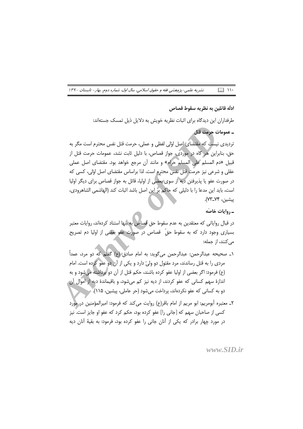نشریه علمی-پژوهشی فقه و حقوق اسلامی، سال اول، شماره دوم، بهار- تابستان ۱۳۹۰  $\mathbb{R}$   $\mathbb{N}$ 

ادله قائلين به نظريه سقوط قصاص

طرفداران این دیدگاه برای اثبات نظریه خویش به دلایل ذیل تمسک جستهاند:

ـ عمومات حرمت قتل

تردیدی نیست که مقتضای اصل اوّلی لفظی و عملی، حرمت قتل نفس محترم است مگر به حق، بنابراین هر گاه در موردی، جواز قصاص، با دلیل ثابت نشد، عمومات حرمت قتل از قبيل «دم المسلم على المسلم حرام» و مانند أن مرجع خواهد بود. مقتضاي اصل عملي عقلی و شرعی نیز حرمت قتل نفس محترم است. لذا براساس مقتضای اصل اوّلی، کسی که در صورت عفو یا پذیرفتن دیه از سوی بعضی از اولیا، قائل به جواز قصاص برای دیگر اولیا است، بايد اين مدعا را با دليلي كه جاكم بر اين اصل باشد اثبات كند (الهاشمي الشاهرودي، يىشىن، ۷۴\_۷۳).

-, وايات خاصّه

در قبال روایاتی که معتقدین به عدم سقوط حق قصاص به آنها استناد کردهاند، روایات معتبر بسیاری وجود دارد که به سقوط حقّ قصاص در صورت عفو بعضی از اولیا دم تصریح مے کنند، از جمله:

- ١\_ صحيحه عبدالرحمن: عبدالرحمن مي گويد: به امام صادق (ع) گفتم كه دو مرد، عمداً مردی را به قتل رساندند، مرد مقتول دو ولیّ دارد و یکی از آن دو عفو کرده است. امام (ع) فرمود: اگر بعضی از اولیا عفو کرده باشند، حکم قتل از آن دو ابرداشته میشود و به اندازهٔ سهم کسانی که عفو کردند، از دیه نیز کم میشود، و باقیماندهٔ دیه از اموال آن دو به کسانی که عفو نکردهاند، پرداخت میشود (حر عاملی، پیشین، ۱۱۵).
- ٢\_ معتبره أبومريم: ابو مريم از امام باقر(ع) روايت مي كند كه فرمود: اميرالمؤمنين در مورد کسی از صاحبان سهم که [جانی را] عفو کرده بود، حکم کرد که عفو او جایز است.ِّ نیز در مورد چهار برادر که یکی از آنان جانی را عفو کرده بود، فرمود: به بقیهٔ آنان دیه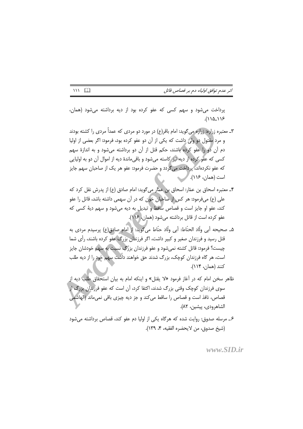اثر عدم توافق اولیاء دم بر قصاص قاتل

پرداخت می شود و سهم کسی که عفو کرده بود از دیه برداشته می شود (همان،  $(1101)$ 

- ۳ـ معتبره زراره: زراره میگوید: امام باقر(ع) در مورد دو مردی که عمداً مردی را کشته بودند و مرد مقتول دو ولي داشت كه يكي از آن دو عفو كرده بود، فرمود: اگر بعضي از اوليا دم آن دو را عفو کرده باشند، حکم قتل از آن دو برداشته می شود و به اندازهٔ سهم کسی که عفو کرده از دیه نیز کاسته میشود و باقی ماندهٔ دیه از اموال آن دو به اولیایی که عفو نکردهاند، پرداخت می گردد و حضرت فرمود: عفو هر یک از صاحبان سهم جایز است (همان، ۱۱۶).
- ۴ـ معتبره اسحاق بن عمّار: اسحاق بن عمّار مى گويد: امام صادق (ع) از پدرش نقل كرد كه علی (ع) میفرمود: هر کس از صاحبان خون که در آن سهمی داشته باشد، قاتل را عفو کند، عفو او جایز است و قصاص ساقط و تبدیل به دیه می شود و سهم دیهٔ کسی که عفو كرده است از قاتل برداشته مي شود (همان، ١١۶).
- ۵ـ صحيحه أبي ولَّاد الحنَّاط: أبي ولَّاد حنَّاط مي گويد: إز امام صادق(ع) پرسيدم مردي به قتل رسید و فرزندان صغیر و کبیر داشت، اگر فرزندان بزرگ عفو کرده باشند، رأی شما چیست؟ فرمود: قاتل کشته نمیشود و عفو فرزندان بزرگ نسبت به سهم خودشان جایز است، هر گاه فرزندان کوچک، بزرگ شدند حق خواهند داشت سهم خود را از دیه طلب كنند (همان، ١١۴).
- ظاهر سخن امام که در آغاز فرمود «لا یقتل» و اینکه امام به بیان استحقاق طلب دیه از سوی فرزندان کوچک وقتی بزرگ شدند، اکتفا کرد، آن است که عفو فرزندان بزرگ از قصاص، نافذ است و قصاص را ساقط می کند و جز دیه چیزی باقی نمی،ماند (الهاشمی الشاهرودي، پيشين، ٨٢).
- ۶\_ مرسله صدوق: روایت شده که هرگاه یکی از اولیا دم عفو کند، قصاص برداشته می شود (شيخ صدوق، من لايحضره الفقيه، ۴، ١٣٩).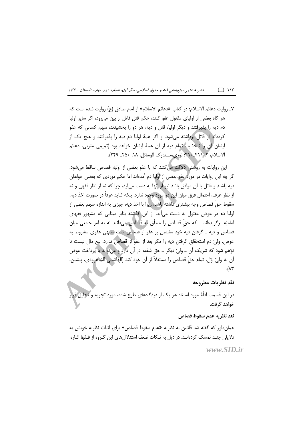نشریه علمی-پژوهشی فقه و حقوق اسلامی، سال اول، شماره دوم، بهار- تابستان ۱۳۹۰ ロ ハイ

Y\_ روايت دعائم الاسلام: در كتاب «دعائم الاسلام» از امام صادق (ع) روايت شده است كه هر گاه بعضی از اولیای مقتول عفو کنند، حکم قتل قاتل از بین می رود، اگر سایر اولیا دم دیه را پذیرفتند و دیگر اولیا، قتل و دیه، هر دو را بخشیدند، سهم کسانی که عفو کردهاند از قاتل برداشته می شود، و اگر همهٔ اولیا دم دیه را پذیرفتند و هیچ یک از ایشان آن را نبخشید، تمام دیه از آن همهٔ ایشان خواهد بود (تمیمی مغربی، دعائم الاسلام، ٢، ٣١١-٢٩٠؛ نوری،مستدرک الوسائل، ١٨، ٢٥٠- ٢٣٩).

این روایات به روشنی دلالت می کنند که با عفو بعضی از اولیا، قصاص ساقط می شود. گر چه این روایات در مورد عفو بعضی از اولیا دم آمدهاند اما حکم موردی که بعضی خواهان ديه باشند و قاتل با آن موافق باشد نيز از آنها به دست مي آيد، چرا كه نه از نظر فقهي و نه از نظر عرف، احتمال فرق میان این دو مورد وجود ندارد، بلکه شاید عرفاً در صورت اخذ دیه، سقوط حقّ قصاص وجه بیشتری داشته باشد، زیرا با اخذ دیه، چیزی به اندازه سهم بعضی از اولیا دم در عوض مقتول به دست می آید. از این گذشته بنابر مبنایی که مشهور فقهای امامیّه برگزیدهاند ــ که حقّ قصاص را متعلّق به قصاص میدانند نه به امر جامعی میان قصاص و دیه ــ گرفتن دیه خود مشتمل بر عفو از قصاص است منتهی عفوی مشروط به عوض. وليّ دم استحقاق گرفتن ديه را مگر بعد از عفو از قصاص ندارد. بيع مال نيست تا توّهم شود که شریک آن ــ ولیّ دیگر ــ حق شفعه در آن دارد و می تواند با پرداخت عوض آن به وليِّ اوّل، تمام حقٍّ قصاص را مستقلاً از آن خود كند (الهاشمي الشاهرودي، پيشين،  $\Lambda^*$ 

### نقد نظريات مطروحه

در این قسمت ادلّهٔ مورد استناد هر یک از دیدگاههای طرح شده، مورد تجزیه و تحلیل قرار خواهد گرفت.

نقد نظريه عدم سقوط قصاص

همان طور که گفته شد قائلین به نظریه «عدم سقوط قصاص» برای اثبات نظریه خویش به دلایلی چنـد تمسک کردهانـد. در ذیل به نـکات ضعف استدلال های این گـروه از فـقها اشاره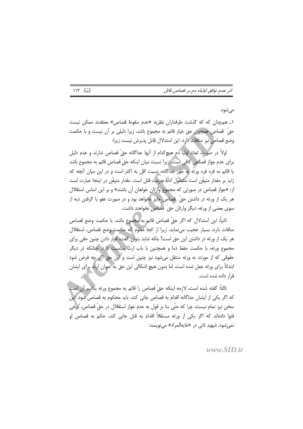مى شود.

۱ـ همچنان که که گذشت طرفداران نظریه «عدم سقوط قصاص» معتقدند ممکن نیست حقّ قصاص همچون حق خیار قائم به مجموع باشد، زیرا دلیلی بر أن نیست و با حکمت وضع قصاص نيز منافات دارد. اين استدلال قابل پذيرش نيست زيرا:

اولاً در صورت تعدّد اولياً دم هيچ كدام از أنها جداگانه حقّ قصاص ندارند و عدم دليل برای عدم جواز قصاص کافی است، زیرا نسبت میان اینکه حقّ قصاص قائم به مجموع باشد یا قائم به فرد فرد ورثه به طور جداگانه، نسبت اقل به اکثر است و در این میان آنچه که زايد بر مقدار متيقَّن است مشمول ادلَّهٔ حرمت قتل است. مقدار متيقَّن در اينجا عبارت است از: «جواز قصاص در صورتی که مجموع وارثان خواهان آن باشند» و بر این اساس استقلال هر یک از ورثه در داشتن حقّ قصاص جایز نخواهد بود و در صورت عفو یا گرفتن دیه از سوی بعضی از ورثه، دیگر وارثان حقّ قصاص نخواهند داشت.

ثانياً: اين استدلال كه اگر حقٌّ قصاص قائم به مجموع باشد، با حكمت وضع قصاص منافات دارد، بسیار عجیب می نماید، زیرا از کجا معلوم که حکمت وضع قصاص، استقلال هر یک از ورثه در داشتن این حق است؟ بلکه شاید بتوان گفت، قرار دادن چنین حقی برای مجموع ورثه، با حکمت حفظ دما و همچنین با باب ارث مناسبت دارد. چنانکه در دیگر حقوقی که از مورّث به ورثه منتقل میشود نیز چنین است و این حق اگر چه فرض شود ابتدائاً برای ورثه جعل شده است، اما بدون هیچ اشکالی این حق به عنوان آرث برای ایشان قرار داده شده است.

ثالثاً: گفته شده است، لازمه اینکه حقّ قصاص را قائم به مجموع ورثه بدانیم آن است كه اگر يكي از ايشان جداگانه اقدام به قصاص جاني كند، بايد محكوم به قصاص شود. اين سخن نيز تمام نيست، چرا كه حتّى بنا بر قول به عدم جواز استقلال در حقّ قصاص، برخي فتوا دادهاند که اگر یکی از ورثه مستقلاً اقدام به قتل جانی کند، حکم به قصاص او نمي شود. شهيد ثاني در «غايهالمراد» مي نويسد: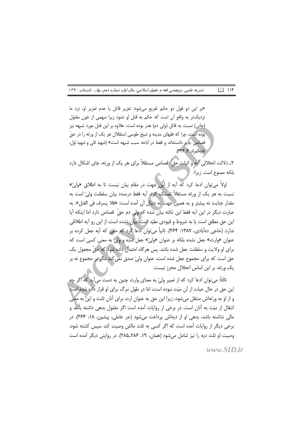«بر این دو قول دو حکم تفریع میشود: تعزیر قاتل یا عدم تعزیر او، نزد ما نزديکتر به واقع آن است که حکم به قتل او نشود زيرا سهمي از خون مقتول (جانی) نسبت به قاتل (ولی دم) هدر بوده است، علاوه بر این قتل مورد شبهه نیز بوده است، چرا که فقهای مدینه و شیخ طوسی استقلال هر یک از ورثه را در حقّ قصاص جایز دانستهاند و فقط در اباحه سبب شبهه است» (شهید ثانی و شهید اول، غايەالمداد، ۴، ٣٢٣).

٢ـ دلالت انحلالي أيه و اثبات حقَّ قصاص مستقلاً براي هر يک از ورثه، جاي اشكال دارد بلكه ممنوع است. زيرا:

اولاً م توان ادعا کرد که آیه از این جهت در مقام بیان نیست تا به اطلاق «ولیّ» نسبت به هر یک از ورثه مستقلاً تمسک کرد. آیه فقط درصدد بیان سلطنت ولیّ است به مقدار جنايت نه بيشتر و به همين جهت به دنبال أن أمده است: «فلا يسرف في القتل». به عبارت ديگر در اين آيه فقط اين نكته بيان شده كه ولي دم حقّ قصاص دارد امّا اينكه آيا این حق مطلق است یا به شروط و قیودی مقیّد است<mark>،</mark> بیان نشده است، از این رو آیه اطلاقی ندارد. (حاجی دهآبادی، ۱۳۸۷: ۳۶۴). ثانیاً می توان ادعا کرد که حقی که آیه جعل کرده بر عنوان «وارث» جعل نشده بلكه بر عنوان «وليّ» جعل شده و وليّ به معنى كسى است كه برای او ولایت و سلطنت جعل شده باشد. پس هرگاه احتمال داده شود که حقّ مجعول یک حق است که برای مجموع جعل شده است، عنوان ولیّ صدق نمی کند مگر بر مجموع نه بر یک ورثه، بر این اساس انحلال محرز نیست.

ثالثاً: می توان ادعا کرد که از تعبیر ولیّ به معنای وارث چنین به دست می آید که اگر چه این حق در حال حیات از آن میّت نبوده است، امّا در طول مرگ برای او قرار داده شده است و از او به ورثهاش منتقل می شود، زیرا این حق به عنوان ارث برای آنان ثابت و این به معنی انتقال از میّت به آنان است. در برخی از روایات آمده است اگر مقتول بدهی داشته باشد و مالی نداشته باشد، بدهی او از دیهاش پرداخت می شود (حر عاملی، پیشین، ۱۸، ۳۶۴). در برخی دیگر از روایات آمده است که اگر کسی به ثلث مالش وصیت کند سپس کشته شود، وصيت او ثلث ديه را نيز شامل مي شود (همان، ١٩، ٢٨٤\_٢٨۵). در روايتي ديگر آمده است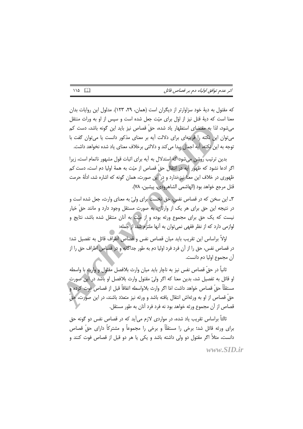كه مقتول به ديهٔ خود سزاوارتر از ديگران است (همان، ٢٩، ١٢٣). مدلول اين روايات بدان معنا است که دیهٔ قتل نیز از اوّل برای میّت جعل شده است و سپس از او به وراث منتقل می شود، لذا به مقتضای استظهار یاد شده، حقّ قصاص نیز باید این گونه باشد، دست کم می توان این نکته را قرینهای برای دلالت آیه بر معنای مذکور دانست یا می توان گفت با توجه به این نکته، آیه اجمال پیدا می کند و دلالتی برخلاف معنای یاد شده نخواهد داشت.

بدین ترتیب روشن می شود که استدلال به آیه برای اثبات قول مشهور ناتمام است، زیرا اگر ادعا نشود كه ظهور أيه در انتقال حقّ قصاص از ميّت به همهٔ اوليا دم است، دست كم ظهوری در خلاف این معنا نیز ندارد و در این صورت، همان گونه که اشاره شد، ادلّهٔ حرمت قتل مرجع خواهد بود (الهاشمي الشاهرودي، پيشين، ٧٨).

٣ـ اين سخن كه در قصاص نفس، حق نخست براي وليّ به معناي وارث، جعل شده است و در نتیجه این حق برای هر یک از وارثان، به صورت مستقل وجود دارد و مانند حقّ خیار نیست که یک حق برای مجموع ورثه بوده و از میّت به آنان منتقل شده باشد، نتایج و لوازمي دارد كه از نظر فقهي نمي توان به آنها ملتزم شد، از جمله:

اؤلاً براساس این تقریب باید میان قصاص نفس و قصاص اطراف قائل به تفصیل شد؛ در قصاص نفس، حق را از آن فرد فرد اولیا دم به طور جداگانه و در قصاص اطراف حق را از أن مجموع اوليا دم دانست.

ثانياً در حقّ قصاص نفس نيز به ناچار بايد ميان وارث بلافصل مقتول و وارث با واسطه او قائل به تفصیل شد، بدین معنا که اگر ولیّ مقتول وارث بلافصل او باشد در این صورت مستقلًّا حقٍّ قصاص خواهد داشت امّا اگر وارث بلاواسطه اتفاقاً قبل از قصاص فوت كرده و حقّ قصاص از او به ورثهاش انتقال یافته باشد و ورثه نیز متعدّد باشند، در این صورت، حقّ قصاص از آن مجموع ورثه خواهد بود نه فرد فرد آنان به طور مستقل.

ثالثاً براساس تقریب یاد شده، در مواردی لازم می]ید که در قصاص نفس دو گونه حق برای ورثه قائل شد؛ برخی را مستقلًّا و برخی را مجموعاً و مشترکاً دارای حقٌّ قصاص دانست، مثلاً اگر مقتول دو ولی داشته باشد و یکی یا هر دو قبل از قصاص فوت کنند و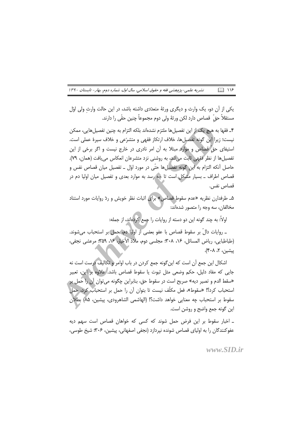نشریه علمی-پژوهشی فقه و حقوق اسلامی، سال اول، شماره دوم، بهار- تابستان ۱۳۹۰  $\Box$   $\cup$ 

یکی از آن دو، یک وارث و دیگری ورثهٔ متعدّدی داشته باشد، در این حالت وارث ولی اوّل مستقلاً حقَّ قصاص دارد لكن ورثهٔ ولى دوم مجموعاً چنين حقَّى را دارند.

۴\_ فقها به هیچ یک از این تفصیل ها ملتزم نشدهاند بلکه التزام به چنین تفصیل هایی، ممکن نيست؛ زيرا اين گونه تفصيلها، خلاف ارتكاز فقهي و متشرّعي و خلاف سيرهٔ عملي است. استیفای حق قصاص و موارد مبتلا به آن امر نادری در خارج نیست و اگر برخی از این تفصيلها از نظر فقهي ثابت مي شد، به روشني نزد متشرعان انعكاس مي يافت (همان، ٧٩). حاصل أنكه التزام به اين گونه تفصيلها حتّى در مورد اوّل ــ تفصيل ميان قصاص نفس و قصاص اطراف ــ بسیار مشکل است تا چه رسد به موارد بعدی و تفصیل میان اولیا دم در قصاص نفس.

هـ طرفدارن نظريه «عدم سقوط قصاص» براي اثبات نظر خويش و ردّ روايات مورد استناد مخالفان، سه وجه را متصور شدهاند:-

اولاً: به چند گونه این دو دسته از روایات را جمع کردهاند، از جمله:

ـ روايات دالٌ بر سقوط قصاص با عفو بعضي از اوليا دم، حمل بر استحباب مي شوند. (طباطبايي، رياض المسائل، ١۶، ٣٠٨؛ مجلسي دوم، ملاذ الأخيار، ١۶، ٣۵٩؛ مرعشي نجفي، پیشین، ۲، ۴۰۸).

اشكال اين جمع أن است كه اين گونه جمع كردن در باب اوامر و تكاليف درست است نه جایی که مفاد دلیل، حکم وضعی مثل ثبوت یا سقوط قصاص باشد. علاوه بر این، تعبیر «سقط الدم و تصير ديه» صريح است در سقوط حق، بنابراين چگونه مي توان آن را حمل بر استحباب كرد؟! «سقوط»، فعل مكلَّف نيست تا بتوان أن را حمل بر استحباب كرد، حمل سقوط بر استحباب چه معنایی خواهد داشت؟! (الهاشمی الشاهرودی، پیشین، ۸۵) بطلان این گونه جمع واضح و روشن است.

ـ اخبار سقوط بر این فرض حمل شوند که کسی که خواهان قصاص است سهم دیه عفو کنندگان را به اولیای قصاص شونده نیردازد (نجفی اصفهانی، پیشین، ۳۰۶؛ شیخ طوسی،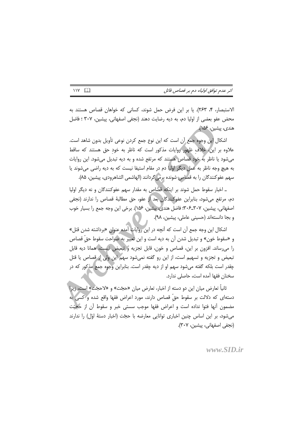الاستبصار، ۴، ۲۶۳). یا بر این فرض حمل شوند، کسانی که خواهان قصاص هستند به محض عفو بعضی از اولیا دم، به دیه رضایت دهند (نجفی اصفهانی، پیشین، ۳۰۷ ؛ فاضل هندي، پيشين، ۱۵۶).

اشكال اين وجوه جمع أن است كه اين نوع جمع كردن نوعي تأويل بدون شاهد است. علاوه بر این، خلاف ظهور روایات مذکور است که ناظر به خود حق هستند که ساقط می شود یا ناظر به خود قصاص هستند که مرتفع شده و به دیه تبدیل می شود. این روایات به هیچ وجه ناظر به عمل دیگر اولیا دم در مقام استیفا نیست که به دیه راضی می شوند یا سهم عفوكنندگان را به قصاص شونده برم گردانند (الهاشمی الشاهرودی، پیشین، ۸۵).

ـ اخبار سقوط حمل شوند بر اينكه قصاص به مقدار سهم عفوكنندگان و نه ديگر اوليا دم، مرتفع میشود، بنابراین عفوکنندگان بعد از عفو، حق مطالبهٔ قصاص را ندارند (نجفی اصفهاني، پيشين، ٣٠٧\_٣٠۶؛ فاضل هندي، پيشين، ١۵۶). برخي اين وجه جمع را بسيار خوب و بجا دانستهاند (حسینی عاملی، پیشین، ۹۸).

اشکال این وجه جمع آن است که آنچه در این روایات آمده عنوان «برداشته شدن قتل» و «سقوط خون» و تبديل شدن آن به ديه است و اين تعبير به صراحت سقوط حقّ قصاص را می ساند. افزون بر این، قصاص و خون، قابل تجزیه و تبعیض نیست، همانا دیه قابل تبعيض و تجزيه و تسهيم است، از اين رو گفته نميشود سهم اين ولي از قصاص يا قتل چقدر است بلکه گفته میشود سهم او از دیه چقدر است. بنابراین وجوه جمع مذکور که در سخنان فقها آمده است، حاصلی ندارد.

ثانياً تعارض ميان اين دو دسته از اخبار، تعارض ميان «حجّت» و «لاحجّت» است، زيرا دستهای که دلالت بر سقوط حقٌّ قصاص دارند، مورد اعراض فقها واقع شده و کسی به مضمون أنها فتوا نداده است و اعراض فقها موجب سستی خبر و سقوط آن از حجیّت می شود، بر این اساس چنین اخباری توانایی معارضه با حجّت (اخبار دستهٔ اوّل) را ندارند (نجفي اصفهاني، پيشين، ٣٠٧).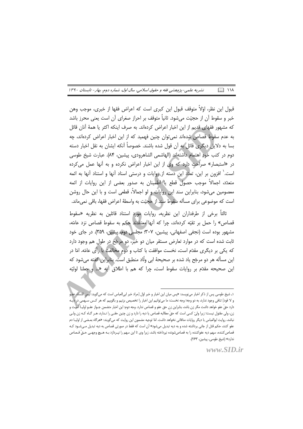$\Box$   $\Box$ نشریه علمی-پژوهشی فقه و حقوق اسلامی، سال اول، شماره دوم، بهار – تابستان ۱۳۹۰

قبول این نظر، اوّلاً متوقف قبول این کبری است که اعراض فقها از خبری، موجب وهن خبر و سقوط آن از حجیّت می،شود. ثانیاً متوقف بر احراز صغرای آن است یعنی محرز باشد كه مشهور فقهاى قديم از اين اخبار اعراض كردهاند. به صرف اينكه اكثر يا همهٔ آنان قائل به عدم سقوط قصاص شدهاند نمی توان چنین فهمید که از این اخبار اعراض کردهاند، چه بسا به دلایل دیگری قائل به آن قول شده باشند. خصوصاً آنکه ایشان به نقل اخبار دسته دوم در كتب خُود اهتمام داشتهاند (الهاشمي الشاهرودي، پيشين، ۸۴). عبارت شيخ طوسي در «استبصار» صراحت دارد که وی از این اخبار اعراض نکرده و به آنها عمل میکرده است.' افزون بر این، تعدّد این دسته از روایات و درستی اسناد آنها و استناد آنها به ائمه متعدّد، اجمالاً موجب حصول قطع یا اطمینان به صدور بعضی از این روایات از ائمه معصومین میشود، بنابراین سند این روایات و لو اجمالاً، قطعی است و با این حال روشن است که موضوعی برای مسأله سقوط سند از حجیّت به واسطهٔ اعراض فقها، باقی نمی،اند.

ثالثاً برخی از طرفداران این نظریه، روایات مورد استناد قائلین به نظریه «سقوط قصاص» را حمل بر تقيّه كردهاند، چرا كه آنها معتقدند حكم به سقوط قصاص نزد عامّه، مشهور بوده است (نجفی اصفهانی، پیشین، ۳۰۷؛ مجلسی دوم، پیشین، ۳۵۹). در جای خود ثابت شده است که در موارد تعارض مستقر میان دو خبر، دو مرجّح در طول هم وجود دارد که یکی بر دیگری مقدّم است، نخست موافقت با کتاب و دوم مخالفت با رأی عامّه. امّا در این مسأله هر دو مرجّح یاد شده بر صحیحهٔ ابی وأاد منطبق است. بنابراین گفته می شود که اين صحيحه مقدّم بر روايات سقوط است، چرا كه هم با اطلاق آيه «.. و جعلنا لوليّه

۱ـ شیخ طوسی پس از ذکر اخبار می;نویسد: «پس میان این اخبار و خبر اوّل [مراد خبر ابی|لعباس است که می6وید: لیس للنساء عف و لا قود] تنافى وجود ندارد، به دو وجه؛ وجه نخست: ما مى توانيم اين اخبار را تخصيص بزنيم و بگوييم كه هر كـس سـهمى در ديـه دارد حقّ عفو خواهد داشت مگر زن باشد، بنابراین زن حق عفو و قصاص ندارد. وجه دوم: این اخبار متضمن جـواز عفـو اولیـا اسـِت و زن، ولي مقتول نيست؛ زيرا وليّ كسي است كه حقّ مطالبه قصاص يا ديه را دارد و زن چنين حقـي را نـدارد، هـر گـاه كـه زن ولـي نباشد، روایت ابوالعباس با دیگر روایات منافاتی نخواهد داشت. امّا توجیه مضمون این روایت که میگویند: «هرگاه بعضی از اولیـا دم عفو کنند، حکم قتل از جانی برداشته شده و به دیه تبدیل میشود» آن است که فقط در صورتی قصاص به دیه تبدیل مـیشـود کـه قصاص کننده، سهم دیه عفوکننده را به قصاصشونده نپرداخته باشد، زیرا وی تا این سهم را نپـردازد بـه هـیچ وجهـی حـقّ قـصاص ندارد» (شیخ طوسی، پیشین، ۲۶۳).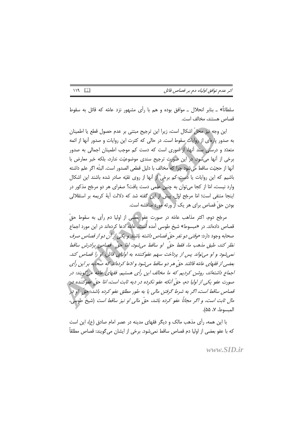سلطاناً» \_ بنابر انحلال \_ موافق بوده و هم با رأى مشهور نزد عامّه كه قائل به سقوط قصاص هستند، مخالف است.

این وجه نیز محلِّ اشکال است، زیرا این ترجیح مبتنی بر عدم حصول قطع یا اطمینان به صدور پارهای از روایات سقوط است. در حالی که کثرت این روایات و صدور آنها از ائمه متعدّد و درستی سند آنها، از اموری است که دست کم موجب اطمینان اجمالی به صدور برخی از آنها می شود. در این صورت ترجیح سندی موضوعیّت ندارد، بلکه خبر معارض با أنها از حجيّت ساقط مي شود چرا كه مخالف با دليل قطعي الصدور است. البتّه اگر علم داشته باشیم که این روایات یا دست کم برخی از آنها از روی تقیّه صادر شده باشند این اشکال وارد نیست، امّا از کجا میتوان به چنین علمی دست یافت؟ صغرای هر دو مرجّح مذکور در اینجا منتفی است؛ امّا مرجّح اوّل، پیش از این گفته شد که دلالت آیهٔ کریمه بر استقلالی بودن حقّ قصاص براي هر يک از ورثه مورد مناقشه است.

مرجّح دوم، اکثر مذاهب عامّه در صورت عفو بعضی از اولیا دم رأی به سقوط حقّ قصاص دادهاند. در «مبسوط» شیخ طوسی آمده است، عامّه ادعا کردهاند در این مورد اجماع صحابه وجود دارد: *«وقتي دو نفر حقّ قصاص داشته باشند و يکي از آن دو از قصاص صرف* نظر كند، طبق مذهب ما، فقط حقّ او ساقط می شود، امّا حقّ قصاص برادرش ساقط نمې شود و او مې تواند پس از پرداخت سهم عفوکننده به اولیایي قاتل، او را قصاص کند. بعضی از فقهای عامّه قائلند حقّ هر دو ساقط می شود و ادّعا کردهاند که صحابه بر این رأی اجماع داشتهاند، روشن کردیم که ما مخالف این رأی هستیم. فقهای عامّه می گویند: در صورت عفو یکی از اولیا دم، حقّ آنکه عفو نکرده در دیه ثابت است، امّا حقّ عفوکتنده در ِ قصاص ساقط است، اگر به شرط گرفتن مالی یا به طور مطلق عفو کرده باشد، حقّ او دار مال ثابت است، و اگر مجاناً عفو كرده باشد، حقّ مالى او نيز ساقط است (شيخ طوسى، المبسوط، ٧، ٥۵).

با این همه، رأی مذهب مالک و دیگر فقهای مدینه در عصر امام صادق (ع)، این است كه با عفو بعضي از اوليا دم قصاص ساقط نمي شود. برخي از ايشان مي گويند: قصاص مطلقاً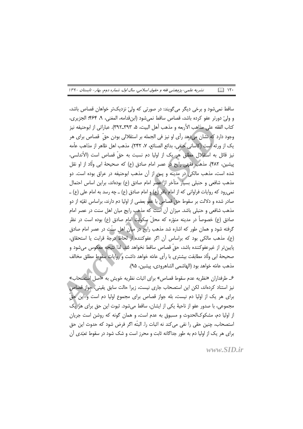نشریه علمی-پژوهشی فقه و حقوق اسلامی، سال اول، شماره دوم، بهار- تابستان ۱۳۹۰  $\Box$   $\vee$ 

ساقط نمي شود و برخي ديگر مي گويند: در صورتي كه وليّ نزديکتر خواهان قصاص باشد، و وليِّ دورتر عفو كرده باشد، قصاص ساقط نمي شود (ابن قدامه، المغني، ٩، ۴۶۴؛ الجزيري، كتاب الفقه على مذاهب الأربعه و مذهب أهل البيت، ۵، ٣٩٢\_٣٩٢). عباراتي از ابوحنيفه نيز وجود دارد که نشان می دهد رأی او نیز فی الجمله بر استقلالی بودن حقّ قصاص برای هر يک از ورثه است (كاساني حنفي، بدائع الصنائع، ٧، ٢۴٢). مذهب اهل ظاهر از مذاهب عاَّمه نيز قائل به استقلال مطلق هر يک از اوليا دم نسبت به حقّ قصاص است (الأندلسي، پیشین، ۴۸۲). مذهب فقهی رایج در عصر امام صادق (ع) که صحیحهٔ ابی ولّاد از او نقل شده است، مذهب مالکی در مدینه و پس از آن مذهب ابوحنیفه در عراق بوده است. دو مذهب شافعی و حنبلی بسیار متأخر از عصر امام صادق (ع) بودهاند، براین اساس احتمال نمی رود که روایات فراوانی که از امام باقر (ع) و امام صادق (ع) ــ چه رسد به امام علی (ع) ــ صادر شده و دلالت بر سقوط حقٍّ قصاص با عفو بعضي از اوليا دم دارند، براساس تقيّه از دو مذهب شافعی و حنبلی باشد. میزان آن است که مذهب رایج میان اهل سنت در عصر امام صادق (ع) خصوصاً در مدینه منوّره که محلّ سکونت امام صادق (ع) بوده است در نظر گرفته شود و همان طور که اشاره شد مذهب رایج در میان اهل سنّت در عصر امام صادق (ع)، مذهب مالكي بود كه براساس أن اگر عفوكننده از لحاظ درجهٔ قرابت یا استحقاق، پايينتر از غيرعفوكننده باشد، حقّ قصاص ساقط نخواهد شد. لذا نتيجه معكوس مىشود و صحيحهٔ ابی ولّاد مطابقت بيشتري با رأى عامّه خواهد داشت و روايات سقوط مطلق مخالف مذهب عامّه خواهد بود (الهاشمي الشاهرودي، پيشين، ٩۵).

عـ طرفداران «نظريه عدم سقوط قصاص» براي اثبات نظريه خويش به «اصل المتصحاب» نیز استناد کردهاند، لکن این استصحاب جاری نیست، زیرا حالت سابق یقینی، جواز قصاص برای هر یک از اولیا دم نیست، بله جواز قصاص برای مجموع اولیا دم است و این حقّ مجموعی، با صدور عفو از ناحیهٔ یکی از ایشان، ساقط میشود. ثبوت این حق برای هر یک از اولیا دم، مشکوکالحدوث و مسبوق به عدم است، و همان گونه که روشن است جریان استصحاب، چنین حقی را نفی می کند نه اثبات را. البتّه اگر فرض شود که حدوث این حق برای هر یک از اولیا دم به طور جداگانه ثابت و محرز است و شک شود در سقوط تعبّدی آن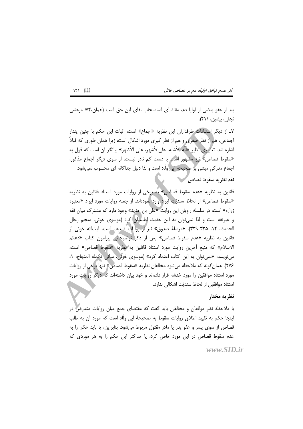اثر عدم توافق اولیاء دم بر قصاص قاتل

بعد از عفو بعضی از اولیا دم، مقتضای استصحاب بقای این حق است (همان،۷۴٪ مرعشی نجفي، پيشين، ۴۱۱).

Y\_ از دیگر استنادات طرفداران این نظریه «اجماع» است، اثبات این حکم با چنین پندار اجماعی، هم از نظر صغری و هم از نظر کبری مورد اشکال است، زیرا همان طوری که قبلاً اشاره شد، تعابیری نظیر «أنّه الأشبه، علی|لأشهر، علی الأظهر» بیانگر آن است که قول به «سقوط قصاص» نیز مشهور است یا دست کم نادر نیست. از سوی دیگر اجماع مذکور، اجماع مدر کی مبتنی بر صحیحه ابی ولّاد است و لذا دلیل جداگانه ای محسوب نمی شود.

## نقد نظريه سقوط قصاص

قائلین به نظریه «عدم سقوط قصاص» به برخی از روایات مورد استناد قائلین به نظریه «سقوط قصاص» از لحاظ سنديّت آيراد وارد نمودهاند. از جمله روايات مورد ايراد «معتبره زراره» است، در سلسله راویان این روایت «علی بن حدید» وجود دارد که مشترک میان ثقه و غیرثقه است و لذا نمی توان به این حدیث اطمینان کرد (موسوی خوئی، معجم رجال الحديث، ١٢، ٣٢٩\_٣٢٩). «مرسلةَ صدوق» نيز از روايات ضعيف است. آيتالله خوئي از قائلین به نظریه «عدم سقوط قصاص» پس از ذکر توضیحاتی پیرامون کتاب «دعائم الاسلام» كه منبع آخرين روايت مورد استناد قائلين به نظريه «سقوط قصاص» است، مى نويسد: «نمى توان به اين كتاب اعتماد كرد» (موسوى خوئي، مبانى تكمله المنهاج، ١، ٢٧۶). همان گونه كه ملاحظه مي شود مخالفان نظريه «سقوط قصاص» تنها برخي از روايات مورد استناد موافقین را مورد خدشه قرار دادهاند و خود بیان داشتهاند که دیگر روایات مورد استناد موافقين از لحاظ سنديّت اشكالي ندارد.

#### نظريه مختار

با ملاحظه نظر موافقان و مخالفان باید گفت که مقتضای جمع میان روایات متعارض در اینجا حکم به تقیید اطلاق روایات سقوط به صحیحهٔ ابی ولّاد است که مورد آن به طلب قصاص از سوی پسر و عفو پدر یا مادر مقتول مربوط می شود. بنابراین، یا باید حکم را به عدم سقوط قصاص در این مورد خاص کرد، یا حداکثر این حکم را به هر موردی که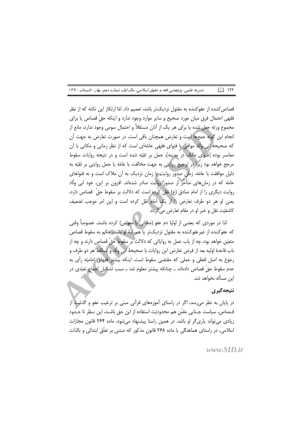نشریه علمی-پژوهشی فقه و حقوق اسلامی، سال اول، شماره دوم، بهار- تابستان ۱۳۹۰  $\Box$   $\Box$ 

قصاص کننده از عفوکننده به مقتول نزدیکتر باشد، تعمیم داد. امّا ارتکاز این نکته که از نظر فقهی احتمال فرق میان مورد صحیح و سایر موارد وجود ندارد و اینکه حقّ قصاص یا برای مجموع ورثه جعل شده یا برای هر یک از آنان مستقلاً و احتمال سومی وجود ندارد، مانع از انجام این گونه جمعها است و تعارض همچنان باقی است. در صورت تعارض به جهت آن که صحیحه ابی ولَّاد موافق با فتوای فقهی عامّهای است که از نظر زمانی و مکانی با آن معاصر بوده [فتوای مالک در مدینه]، حمل بر تقیّه شده است و در نتیجه روایات سقوط مرجح خواهد بود زيرا در ترجيح روايتي به جهت مخالفت با عامّه يا حمل روايتي بر تقيّه به دلیل موافقت با عامّه، زمان صدور روایت یا زمان نزدیک به آن ملاک است و نه فتواهای عامّه که در زمانهای متأخّر از صدور روایت صادر شدهاند. افزون بر این، خود ابی ولّاد روايت ديگري را از امام صادق (ع) نقل كرده است كه دلالت بر سقوط حقَّ قصاص دارد، یعنی او هر دو طرف تعارض را از یک امام نقل کرده است و این امر موجب تضعیف كاشفيّت نقل و خبر او در مقام تعارض مي گردد.

لذا در موردي كه بعضي از اوليا دم عفو (مجاني يا معوّض) كرده باشند، خصوصاً وقتي كه عفوكننده از غيرعفوكننده به مقتول نزديكتر يا همرتبهٔ او باشد، حكم به سقوط قصاص متعيّن خواهد بود، چه از باب عمل به رواياتي كه دلالت بر سقوط حقّ قصاصٍ دارند و چه از باب قاعدهٔ اولیه بعد از فرض تعارض این روایات با صحیحهٔ ابی ولّاد و تساقط هر دو طرف و رجوع به اصل لفظی و عملی که مقتضی سقوط است. اینکه بیشتر فقهای امامیّه رأی به عدم سقوط حقّ قصاص دادهاند ــ چنانکه پیشتر معلوم شد ــ سبب تشکیل اجماع تعبّدی در این مسأله نخواهد شد.

## نتيجه گيري

در پایان به نظر می رسد، اگر در راستای آموزههای قرآنی مبنی بر ترغیب عفو و گذشت از قــصاص، سياست جــنايي مقنّن هم محدوديّت استفاده از اين حق باشــد، اين نــظر تا حــدّود زیادی می تواند یاری گر او باشد. در همین راستا پیشنهاد می شود، ماده ۲۶۴ قانون مجازات اسلامی، در راستای هماهنگی با ماده ۲۶۸ قانون مذکور که مبتنی بر تعلُّق ابتدائی و بالذات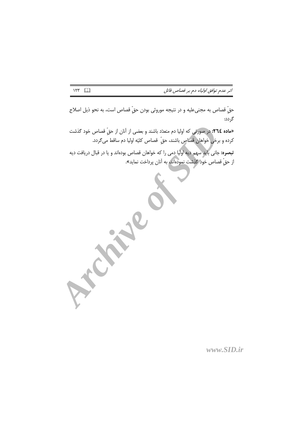حقّ قصاص به مجنىعليه و در نتيجه موروثي بودن حقّ قصاص است، به نحو ذيل اصلاح گر دد:

«ماده ٢٦٤: در صورتي كه اوليا دم متعدّد باشند و بعضي از آنان از حقّ قصاص خود گذشت كرده و برخي خواهان قصاصٍ باشند، حقٍّ قصاص كليّه اوليا دم ساقط مي گردد.

**تبصره:** جانی باید سهم دیه اولیا دمی را که خواهان قصاص بودهاند و یا در قبال دریافت دیه از حقّ قصاص خود گذشت نمودهاند، به آنان پرداخت نماید».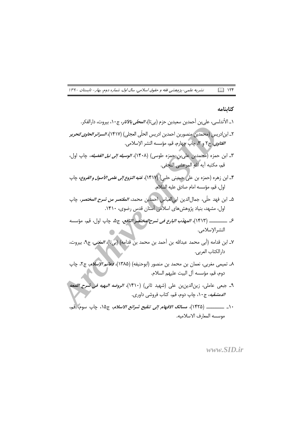نشریه علمی-پژوهشی فقه و حقوق اسلامی، سال اول، شماره دوم، بهار- تابستان ۱۳۹۰  $\Box$   $\vee$ 

#### كتابنامه

- ۱\_ الأندلسي، علي بن أحمدبن سعيدبن حزم (بي¤ا)، *المحلّي بالأثار*، ج١٠، بيروت، دارالفكر. ٢ـ ابن|دريس (محمدبن منصوربن احمدبن ادريس الحلّي العجلي) (١۴١٧)، *السرائر الحاوي لتحرير الفتاوى،* ج٢ و ٣، چاپ چهارم، قم، مؤسسه النشر الإسلامى.
- ٣ـ ابن حمزه (محمدبن علي بن حمزه طوسي) (١۴٠٨)، *الوسيله إلى نيل الفضيله*، جاب اول، قم، مكتبه أيه الله المرعشى النجفي.
- ۴\_ ابن زهره (حمزه بن علي حسيني حلبي) (١۴١٧)، *غنيه النزوع إلى علمي الأصول و الفروع*، چاپ اول، قم، مؤسسه امام صادق عليه السلام.
- ۵ـ ابن فهد حلَّى، جمال|لدين ابي|لعباس احمدبن محمد، *المقتصر من شرح المختصر*، چاپ اول، مشهد، بنیاد پژوهش های اسلامی آستان قدس رضوی، ۱۴۱۰.
- ع \_\_\_\_\_\_\_ (١۴١٣)، *المهذّب البارع في شرح المختصر النافع،* ج۵، چاپ اول، قم، مؤسسه النشرالإسلامي.
- ٧\_ ابن قدامه (أبي محمد عبدالله بن أحمد بن محمد بن قدامه) (بيتا)، *المغنى*، ج٩، بيروت، دارالكتاب العربي.
- ٨ـ تميمي مغربي، نعمان بن محمد بن منصور (ابوحنيفه) (١٣٨۵)، *دعائم الإسلام*، ج٢، چاپ دوم، قم، مؤسسه آل البيت عليهم السلام.
- ٩ـ جبعى عاملي، زينالدينبن على (شهيد ثاني) (١٤١٠)، *الروضه البهيه في شرح اللمعه* الدمشقيه، ج١٠، چاپ دوم، قم، كتاب فروشي داوري.
- ١٠\_ \_\_\_\_\_\_\_ (١۴٢۵)، *مسالك الافهام إلى تنقيح شرائع الاسلام*، ج١٥، چاپ سوم، قم، موسسه المعارف الاسلاميه.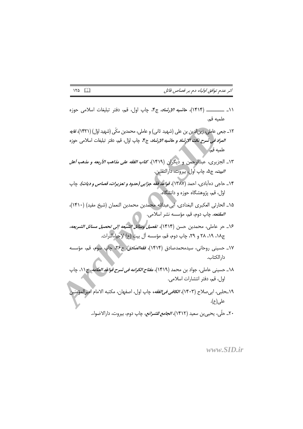اثر عدم توافق اولیاء دم بر قصاص قاتل

- ١١\_ \_\_\_\_\_\_\_\_ (١۴١۴)، ح*اشيه الإرشاد،* ج۴، چاپ اول، قم، دفتر تبليغات اسلامي حوزه علميه قم.
- ١٢\_ جبعي عاملي، زين|لاين بن علي (شهيد ثاني) و عاملي، محمدبن مكَّى (شهيد اوّل) (١۴٢١)، *غايه المواد في شرح نكت الإرشاد و حاشيه الإرشاد*، ج۴. چاپ اوّل، قم، دفتر تبليغات اسلامي حوزه علميه قم.
- ١٣\_ الجزيرى، عبدالرحمن و ديگران (١۴١٩)، *كتاب الفقه على مذاهب الأربعه و مذهب أهل البيت،* ج۵، چاپ اول، بيروت، دارالثقلين.
- ۱۴\_ حاجي دهآبادي، احمد (۱۳۸۷)، *قواعد فقه جزايي (حدود و تعزيرات، قصاص و ديات)،* چاپ اوّل، قم، پژوهشگاه حوزه و دانشگاه.
- ١۵\_ الحارثي العكبري البغدادي، ابي عبدالله محمدبن محمدبن النعمان (شيخ مفيد) (١۴١٠)، *المقنعه،* چاپ دوم، قم، مؤسسه نشر اسلامی.
- ۱۶\_ حر عاملي، محمدبن حسن (۱۴۱۴)، *تفصيل وسائل الشيعه إلى تحصيل مسائل الشريعه،* ج۱۸، ۱۹، ۲۸ و ۲۹، چاپ دوم، قم، مؤسسه آل بیت (ع) لإحیاءالتراث.
- ١٧\_ حسيني روحاني، سيدمحمدصادق (١۴١۴)، *فقهالصّادق، ج٢۶*، حاب سوم، قم، مؤسسه دار الكتاب.
- ١٨\_ حسيني عاملي، جواد بن محمد (١۴١٩)، *مفتاح الكرامه في شرح قواعد العلامه*، ج١١، جاب اول، قم، دفتر انتشارات اسلامي.
- ١٩\_حلبي، ابىِ صلاح (١۴٠٣)، *الكافي في الفقه*، چاپ اول، اصفهان، مكتبه الامام اميرالمؤمنير على(ع).

۲۰\_ حلّى، يحي<sub>م</sub>بن سعيد (۱۴۱۲)، *الجامع للشرائع*، چاپ دوم، بيروت، دارالاضواء.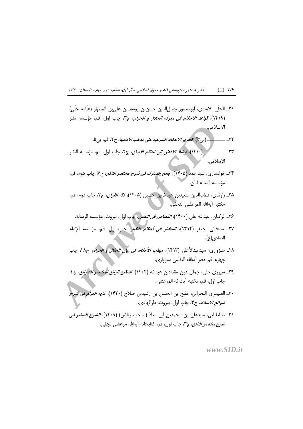نشریه علمی-پژوهشی فقه و حقوق اسلامی، سال اول، شماره دوم، بهار- تابستان ۱۳۹۰  $\Box$   $\vee$ 

- ٢١ـ الحلِّي الاسدى، ابومنصور جمالِالدين حسنِبن يوسفبن علىبن المطهِّر (علَّامه حلَّى) (١۴١٩)، *قواعد الاحكام في معرفه الحلال و الحرام*، ج٣، چاپ اول، قم، مؤسسه نشر الاسلامي.
	- ٢٢\_ \_\_\_\_\_\_\_\_(بي تا)، تحرير *الاحكام الشرعيه على مذهب الامامية،* ج٢، قم، بي نا.
- . (١۴١٠)، *إرشاد الاذهان إلى احكام الايمان*، ج٢، چاپ اول، قم، مؤسسه النشر  $\mathsf{Y}^{\mathsf{r}}$ الإسلامى.
- ٢۴\_ خوانساري، سيداحمد (١۴٠۵)، *جامع المدارک في شرح مختصر النافع،* ج٧، چاپ دوم، قم، مؤسسه اسماعيليان.
- ٢۵\_ راوندي، قطبالدين سعيدبن عبداللهبن حسين (١۴٠۵)، *فقه القرآن*، ج٢، چاپ دوم، قم، مكتبه أيهالله المرعشى النجفي.
	- ۲۶\_ الركبان، عبدالله على (۱۴۰۰)، *القصاص في النفس، چ*اپ اول، بيروت، مؤسسه الرساله.
- ٢٧\_ سبحاني، جعفر (١۴١۴)، *المختار في أحكام الخيار*، چاپ اول، قم، مؤسسه الإمام الصادق(ع).
- ٢٨\_ سبزواري، سيدعبدالأعلى (١۴١٣)، *مهنّب الأحكام في بيان الحلال و الحرام*، ج٢٨، چاپ چهارم، قم، دفتر أيهالله العظمى سبزواري.
- ٢٩\_ سيوري حلّى، جمالالدين مقدادبن عبدالله (١۴٠۴)، *التنقيح الرائع لمختصر الشرائع*، ج۴، چاپ اول، قم، مكتبه آيتالله المرعشي.
- ٣٠\_ الصيمري البحراني، مفلح بن الحسن بن رشيدبن صلاح (١۴٢٠)، *غايه المرام في شرح شرائع الاسلام*، ج۴، چاپ اول، بيروت، دارالهادي.
- ٣١ـ طباطبايي، سيدعلي بن محمدبن ابي معاذ (صاحب رياض) (١۴٠٩)، *الشرح الصغير في شرح مختصر النافع،* ج٣، چاپ اول، قم، كتابخانه أيهالله مرعشى نجفي.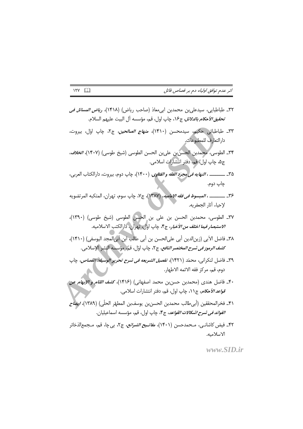- ٣٢ـ طباطبايي، سيدعلي بن محمدبن ابي معاذ (صاحب رياض) (١۴١٨)، *رياض المسائل في تحقيق الأحكام بالدلائل، ج*۱۶، چاپ اول، قم، مؤسسه آل البيت عليهم السلام.
- ٣٣\_ طباطبائ<sub>ی</sub> حکیم، سیدمحسن (١۴١٠)، *منهاج الصالحین*، ج٢، چاپ اوّل، بیروت، دارالتعارف للمطبوعات.
- ٣٣\_ الطوسي، محمدبن الحسنّ بن علي بن الحسن الطوسي (شيخ طوسي) (١۴٠٧)، *الخلاف*، ج۵، چاپ اول، قم، دفتر انتشارات اسلامي.
- ٣۵\_ \_\_\_\_\_\_ ، *النهايه في مجرّد الفقه و الفتاوى*، (١۴٠٠)، چاپ دوم، بيروت، دارالكتاب العربي، ڃاپ دوم.
- ٣۶\_ \_\_\_\_\_\_ ، *المبسوط في فقه الاماميه*، (١٣٨٧)، ج٧، چاپ سوم، تهران، المتكبه المرتضويه لإحياء آثار الجعفريه.
- ٣٧ـ الطوسى، محمدبن الحسن بن على بن الحسن الطوسى (شيخ طوسى) (١٣٩٠)، *الاستبصار فيما اختلف من الأخبار،* ج۴، جاب اوّل، ثهران، دارالكتب الاسلاميه.
- ٣٨ـ فاضل الآبي (زين|لدين أبي على|لحسن بن أبي طالب ابن أبي|لمجد اليوسفي) (١۴١٠)، *كشف الرموز في شرح المختصر النافع،* ج٢، جاب اوّل، قم، مؤسسه النشر الإسلامي.
- ٣٩\_ فاضل لنكراني، محمّد (١۴٢١)، *تفصيل الشريعه في شرح تحرير الوسيله: القصاص*، چاپ دوم، قم، مركز فقه الائمه الاطهار.
- ۴۰\_ فاضل هندي (محمدبن حسن بن محمد اصفهاني) (۱۴۱۶)، ك*شف اللثام و الإبهام عن قواعد الأحكام، ج*١١، چاپ اول، قم، دفتر انتشارات اسلامي.
- ۴۱\_ فخرالمحققين (أبي طالب محمدبن الحسن بن يوسف بن المطهّر الحلّي) (١٣٨٩)، *ايضاح الفوائد في شرح اشكالات القواعد*، ج۴، چاپ اول، قم، مؤسسه اسماعيليان.
- ۴۲\_ فیض کاشانــی، مــحمدحسن (۱۴۰۱)، *مفاتــیح الشرائع،* ج۲، بی چا، قم، مــجمع|لذخائر الاسلاميه.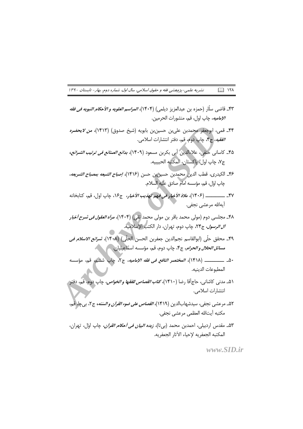نشریه علمی-پژوهشی فقه و حقوق اسلامی، سال اول، شماره دوم، بهار- تابستان ۱۳۹۰  $\square$  ۱۲۸

- ۴۳\_ قاضي سلَّار (حمزه بن عبدالعزيز ديلمي) (۱۴۰۴)، *المراسم العلويه و الأحكام النبويه في فقه الإماميه*، چاپ اول، قم، منشورات الحرمين.
- ۴۴\_ قمی، ابوجعفر محمدبن علی بن حسین بن بابویه (شیخ صدوق) (۱۴۱۳)، *من لایحضره* الفقيه، ج۴، چاپ دوم، قم، دفتر انتشارات اسلامي.
- ۴۵\_ کاسانی حنفی، علاءالدین أبی بکربن مسعود (۱۴۰۹)، *بدائع الصنائع فی ترتیب الشرائع*، ج٧، چاپ اول، پاکستان، المکتبه الحبيبيه.
- ۴۶\_ الكيدري، قطب الدين(محمدبن حسين بن حسن (١۴۱۶)، *إصباح الشيعه بمصباح الشريعه*، چاپ اوّل، قم، مؤسسه امام صادق عليه السلام.
- آىەاللە مرعشى نجفى.
- ۴۸\_ مجلسی دوم (مولی محمد باقر بن مولی محمد <mark>تقی) (۱۴۰۴)، *مرأه العقول فی شرح أخبا*ر</mark> *آل الرسول*، ج۲۴، چاپ دوم، تهران، دار الكتبِ الإسلاميه.
- ۴۹\_ محقق حلَّى (ابوالقاسم نجم|لدين جعفربن الحسن |لحلَّى) (١۴٠٨)، *شرائع الاسلام في مسائل الحلال و الحرام*، ج۴، چاپ دوم، قم، مؤسسه اسماعیلیان.
- ۵۰\_ \_\_\_\_\_\_\_\_ (١۴١٨)، *المختصر النافع في فقه الإماميه*، ج٢، چاپ ششم، قم، مؤسسه المطبوعات الدينيه.
- ۵۱ـ مدني كاشاني، حاج[قا رضا (۱۴۱۰)، *كتاب القصاص للفقها و الخواص،* چاپ دوم، قم، دفتر و انتشارات اسلامي.
- ۵۲\_ مرعشي نجفي، سيدشهابالدين (۱۴۱۹)، *القصاص على ضوء القرآن والستنه*، ج۲، بي چا، قم، مكتبه أيتالله العظمى مرعشى نجفى.
- ۵۳ـ مقدس اردبیلی، احمدبن محمد (بیتا)، *زبده البیان فی أحکام القرآن*، چاپ اوّل، تهران، المكتبه الحعفريه لإحياء الآثار الجعفريه.